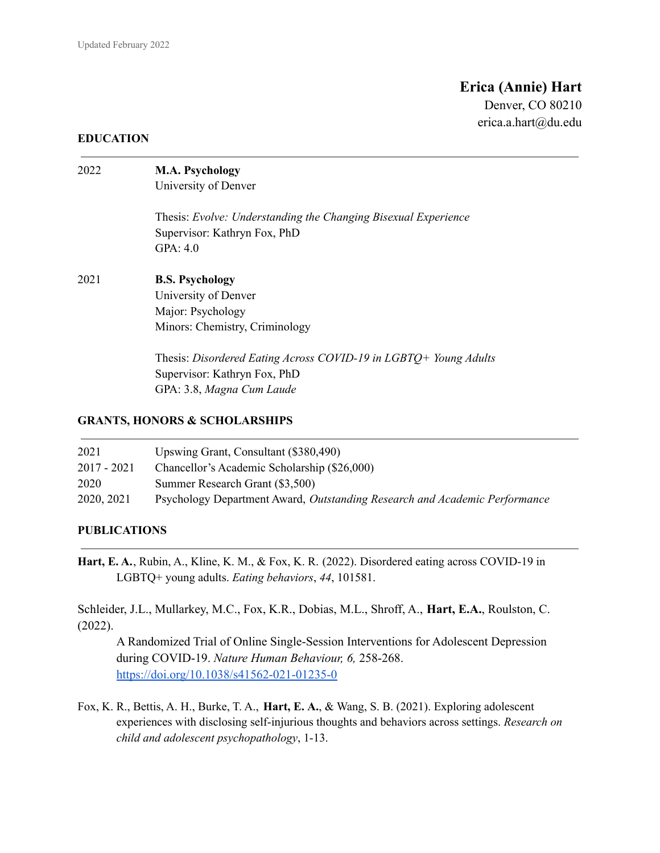# **Erica (Annie) Hart**

Denver, CO 80210 erica.a.hart@du.edu

#### **EDUCATION**

| 2022 | <b>M.A. Psychology</b><br>University of Denver                                                                                |  |
|------|-------------------------------------------------------------------------------------------------------------------------------|--|
|      | Thesis: Evolve: Understanding the Changing Bisexual Experience<br>Supervisor: Kathryn Fox, PhD<br>GPA: $4.0$                  |  |
| 2021 | <b>B.S. Psychology</b><br>University of Denver<br>Major: Psychology<br>Minors: Chemistry, Criminology                         |  |
|      | Thesis: Disordered Eating Across COVID-19 in LGBTQ+ Young Adults<br>Supervisor: Kathryn Fox, PhD<br>GPA: 3.8, Magna Cum Laude |  |

# **GRANTS, HONORS & SCHOLARSHIPS**

| 2021        | Upswing Grant, Consultant (\$380,490)                                      |
|-------------|----------------------------------------------------------------------------|
| 2017 - 2021 | Chancellor's Academic Scholarship (\$26,000)                               |
| 2020        | Summer Research Grant (\$3,500)                                            |
| 2020, 2021  | Psychology Department Award, Outstanding Research and Academic Performance |

#### **PUBLICATIONS**

**Hart, E. A.**, Rubin, A., Kline, K. M., & Fox, K. R. (2022). Disordered eating across COVID-19 in LGBTQ+ young adults. *Eating behaviors*, *44*, 101581.

Schleider, J.L., Mullarkey, M.C., Fox, K.R., Dobias, M.L., Shroff, A., **Hart, E.A.**, Roulston, C. (2022).

A Randomized Trial of Online Single-Session Interventions for Adolescent Depression during COVID-19. *Nature Human Behaviour, 6,* 258-268. [https://doi.org/10.1038/s41562-021-01235-0](https://urldefense.com/v3/__https://doi.org/10.1038/s41562-021-01235-0__;!!NCZxaNi9jForCP_SxBKJCA!ElD3u7BctN4HaJjhBD9cEeZAmSbWvwlL6dmu8Ecf7I5c2EYpqW6s9Ro2KXEH7ZJY$)

Fox, K. R., Bettis, A. H., Burke, T. A., **Hart, E. A.**, & Wang, S. B. (2021). Exploring adolescent experiences with disclosing self-injurious thoughts and behaviors across settings. *Research on child and adolescent psychopathology*, 1-13.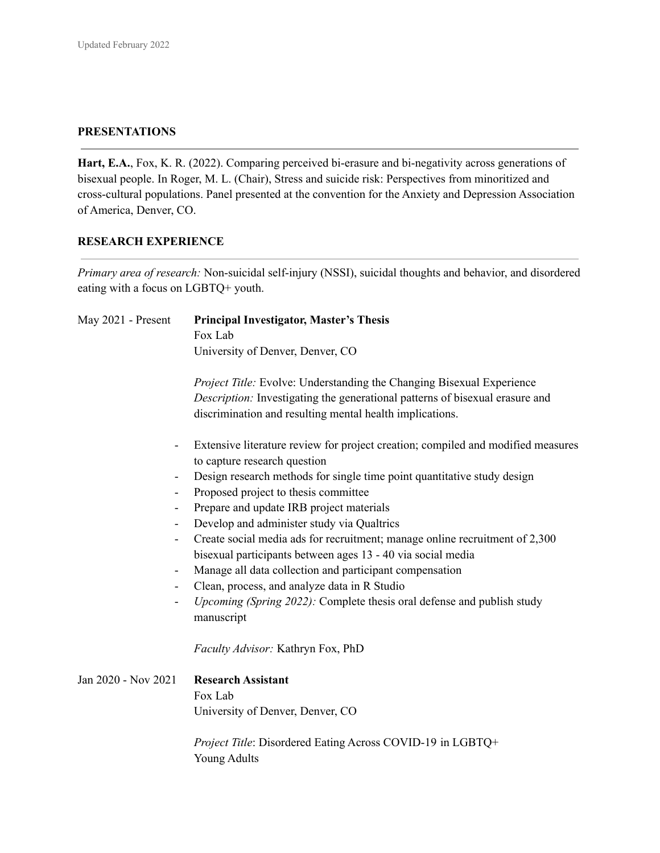#### **PRESENTATIONS**

**Hart, E.A.**, Fox, K. R. (2022). Comparing perceived bi-erasure and bi-negativity across generations of bisexual people. In Roger, M. L. (Chair), Stress and suicide risk: Perspectives from minoritized and cross-cultural populations. Panel presented at the convention for the Anxiety and Depression Association of America, Denver, CO.

# **RESEARCH EXPERIENCE**

*Primary area of research:* Non-suicidal self-injury (NSSI), suicidal thoughts and behavior, and disordered eating with a focus on LGBTQ+ youth.

| May 2021 - Present       | <b>Principal Investigator, Master's Thesis</b>                                   |  |
|--------------------------|----------------------------------------------------------------------------------|--|
|                          | Fox Lab                                                                          |  |
|                          | University of Denver, Denver, CO                                                 |  |
|                          | Project Title: Evolve: Understanding the Changing Bisexual Experience            |  |
|                          | Description: Investigating the generational patterns of bisexual erasure and     |  |
|                          | discrimination and resulting mental health implications.                         |  |
|                          | Extensive literature review for project creation; compiled and modified measures |  |
|                          | to capture research question                                                     |  |
|                          | Design research methods for single time point quantitative study design          |  |
|                          | Proposed project to thesis committee                                             |  |
| -                        | Prepare and update IRB project materials                                         |  |
|                          | Develop and administer study via Qualtrics                                       |  |
| $\overline{\phantom{0}}$ | Create social media ads for recruitment; manage online recruitment of 2,300      |  |
|                          | bisexual participants between ages 13 - 40 via social media                      |  |
| $\overline{\phantom{0}}$ | Manage all data collection and participant compensation                          |  |
|                          | Clean, process, and analyze data in R Studio                                     |  |
|                          | <i>Upcoming (Spring 2022):</i> Complete thesis oral defense and publish study    |  |
|                          | manuscript                                                                       |  |
|                          | Faculty Advisor: Kathryn Fox, PhD                                                |  |
| Jan 2020 - Nov 2021      | <b>Research Assistant</b>                                                        |  |
|                          | Fox Lab                                                                          |  |
|                          | University of Denver, Denver, CO                                                 |  |
|                          | Project Title: Disordered Eating Across COVID-19 in LGBTQ+                       |  |
|                          | <b>Young Adults</b>                                                              |  |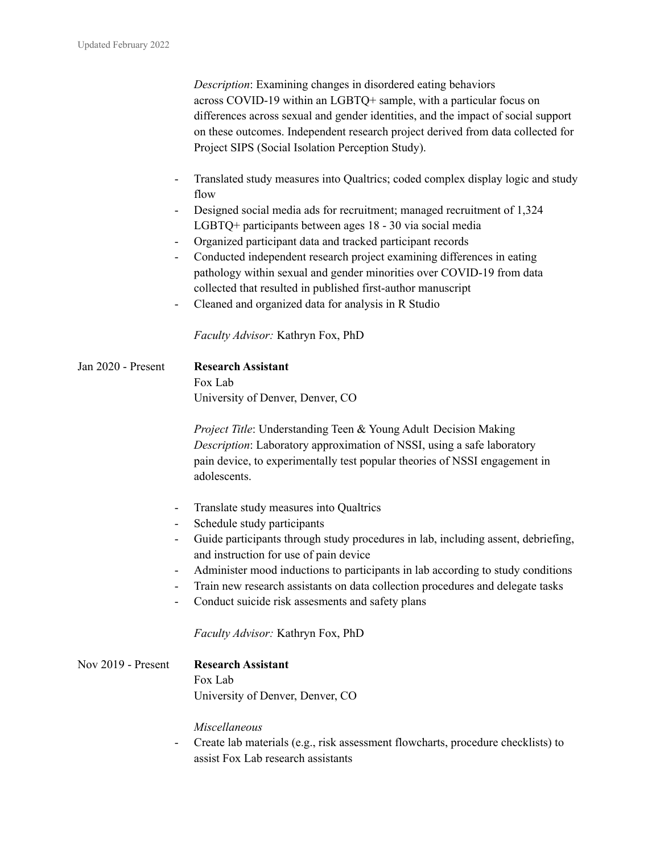*Description*: Examining changes in disordered eating behaviors across COVID-19 within an LGBTQ+ sample, with a particular focus on differences across sexual and gender identities, and the impact of social support on these outcomes. Independent research project derived from data collected for Project SIPS (Social Isolation Perception Study).

- Translated study measures into Qualtrics; coded complex display logic and study flow
- Designed social media ads for recruitment; managed recruitment of 1,324 LGBTQ+ participants between ages 18 - 30 via social media
- Organized participant data and tracked participant records
- Conducted independent research project examining differences in eating pathology within sexual and gender minorities over COVID-19 from data collected that resulted in published first-author manuscript
- Cleaned and organized data for analysis in R Studio

*Faculty Advisor:* Kathryn Fox, PhD

Jan 2020 - Present **Research Assistant** Fox Lab University of Denver, Denver, CO

> *Project Title*: Understanding Teen & Young Adult Decision Making *Description*: Laboratory approximation of NSSI, using a safe laboratory pain device, to experimentally test popular theories of NSSI engagement in adolescents.

- Translate study measures into Qualtrics
- Schedule study participants
- Guide participants through study procedures in lab, including assent, debriefing, and instruction for use of pain device
- Administer mood inductions to participants in lab according to study conditions
- Train new research assistants on data collection procedures and delegate tasks
- Conduct suicide risk assesments and safety plans

*Faculty Advisor:* Kathryn Fox, PhD

| Nov 2019 - Present | <b>Research Assistant</b>        |
|--------------------|----------------------------------|
|                    | Fox Lab                          |
|                    | University of Denver, Denver, CO |

*Miscellaneous*

- Create lab materials (e.g., risk assessment flowcharts, procedure checklists) to assist Fox Lab research assistants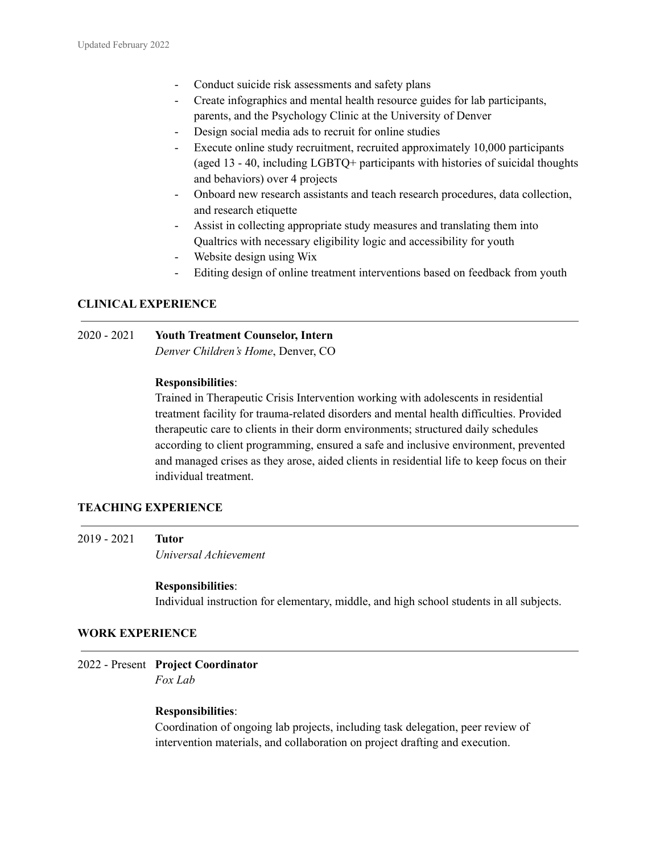- Conduct suicide risk assessments and safety plans
- Create infographics and mental health resource guides for lab participants, parents, and the Psychology Clinic at the University of Denver
- Design social media ads to recruit for online studies
- Execute online study recruitment, recruited approximately 10,000 participants (aged 13 - 40, including LGBTQ+ participants with histories of suicidal thoughts and behaviors) over 4 projects
- Onboard new research assistants and teach research procedures, data collection, and research etiquette
- Assist in collecting appropriate study measures and translating them into Qualtrics with necessary eligibility logic and accessibility for youth
- Website design using Wix
- Editing design of online treatment interventions based on feedback from youth

# **CLINICAL EXPERIENCE**

#### 2020 - 2021 **Youth Treatment Counselor, Intern** *Denver Children's Home*, Denver, CO

# **Responsibilities**:

Trained in Therapeutic Crisis Intervention working with adolescents in residential treatment facility for trauma-related disorders and mental health difficulties. Provided therapeutic care to clients in their dorm environments; structured daily schedules according to client programming, ensured a safe and inclusive environment, prevented and managed crises as they arose, aided clients in residential life to keep focus on their individual treatment.

# **TEACHING EXPERIENCE**

2019 - 2021 **Tutor** *Universal Achievement*

#### **Responsibilities**:

Individual instruction for elementary, middle, and high school students in all subjects.

#### **WORK EXPERIENCE**

2022 - Present **Project Coordinator** *Fox Lab*

#### **Responsibilities**:

Coordination of ongoing lab projects, including task delegation, peer review of intervention materials, and collaboration on project drafting and execution.